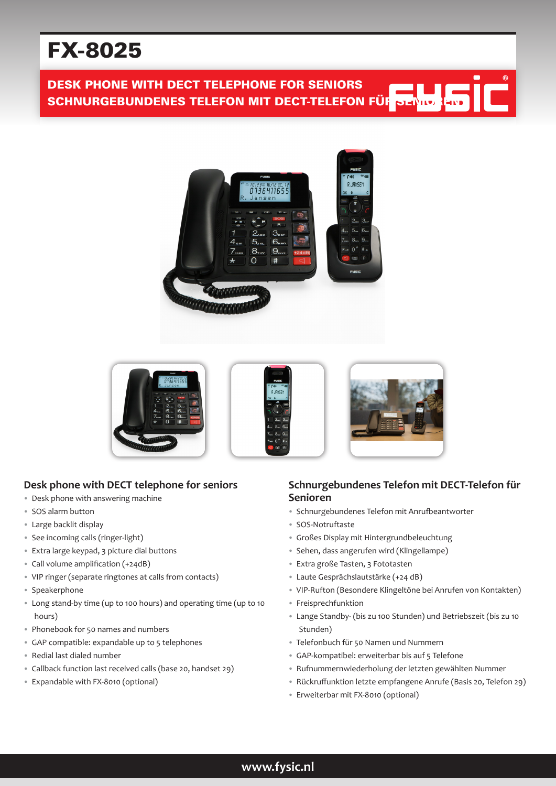# FX-8025

## DESK PHONE WITH DECT TELEPHONE FOR SENIORS DESK PHONE WITH DECT TELEPHONE FOR SENIORS<br>SCHNURGEBUNDENES TELEFON MIT DECT-TELEFON FÜR SENIOREN





#### **Desk phone with DECT telephone for seniors**

- Desk phone with answering machine
- SOS alarm button
- Large backlit display
- See incoming calls (ringer-light)
- Extra large keypad, 3 picture dial buttons
- Call volume amplification (+24dB)
- VIP ringer (separate ringtones at calls from contacts)
- Speakerphone
- Long stand-by time (up to 100 hours) and operating time (up to 10 hours)
- Phonebook for 50 names and numbers
- GAP compatible: expandable up to 5 telephones
- Redial last dialed number
- Callback function last received calls (base 20, handset 29)
- Expandable with FX-8010 (optional)

#### **Schnurgebundenes Telefon mit DECT-Telefon für Senioren**

۲

- Schnurgebundenes Telefon mit Anrufbeantworter
- SOS-Notruftaste
- Großes Display mit Hintergrundbeleuchtung
- Sehen, dass angerufen wird (Klingellampe)
- Extra große Tasten, 3 Fototasten
- Laute Gesprächslautstärke (+24 dB)
- VIP-Rufton (Besondere Klingeltöne bei Anrufen von Kontakten)
- Freisprechfunktion
- Lange Standby- (bis zu 100 Stunden) und Betriebszeit (bis zu 10 Stunden)
- Telefonbuch für 50 Namen und Nummern
- GAP-kompatibel: erweiterbar bis auf 5 Telefone
- Rufnummernwiederholung der letzten gewählten Nummer
- Rückruffunktion letzte empfangene Anrufe (Basis 20, Telefon 29)
- Erweiterbar mit FX-8010 (optional)